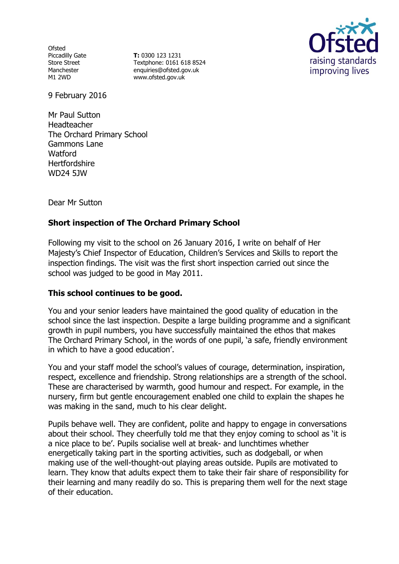**Ofsted** Piccadilly Gate Store Street Manchester M1 2WD

**T:** 0300 123 1231 Textphone: 0161 618 8524 enquiries@ofsted.gov.uk www.ofsted.gov.uk



9 February 2016

Mr Paul Sutton Headteacher The Orchard Primary School Gammons Lane **Watford Hertfordshire** WD24 5JW

Dear Mr Sutton

# **Short inspection of The Orchard Primary School**

Following my visit to the school on 26 January 2016, I write on behalf of Her Majesty's Chief Inspector of Education, Children's Services and Skills to report the inspection findings. The visit was the first short inspection carried out since the school was judged to be good in May 2011.

### **This school continues to be good.**

You and your senior leaders have maintained the good quality of education in the school since the last inspection. Despite a large building programme and a significant growth in pupil numbers, you have successfully maintained the ethos that makes The Orchard Primary School, in the words of one pupil, 'a safe, friendly environment in which to have a good education'.

You and your staff model the school's values of courage, determination, inspiration, respect, excellence and friendship. Strong relationships are a strength of the school. These are characterised by warmth, good humour and respect. For example, in the nursery, firm but gentle encouragement enabled one child to explain the shapes he was making in the sand, much to his clear delight.

Pupils behave well. They are confident, polite and happy to engage in conversations about their school. They cheerfully told me that they enjoy coming to school as 'it is a nice place to be'. Pupils socialise well at break- and lunchtimes whether energetically taking part in the sporting activities, such as dodgeball, or when making use of the well-thought-out playing areas outside. Pupils are motivated to learn. They know that adults expect them to take their fair share of responsibility for their learning and many readily do so. This is preparing them well for the next stage of their education.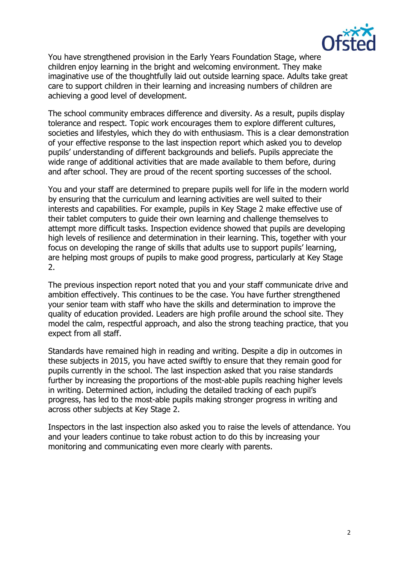

You have strengthened provision in the Early Years Foundation Stage, where children enjoy learning in the bright and welcoming environment. They make imaginative use of the thoughtfully laid out outside learning space. Adults take great care to support children in their learning and increasing numbers of children are achieving a good level of development.

The school community embraces difference and diversity. As a result, pupils display tolerance and respect. Topic work encourages them to explore different cultures, societies and lifestyles, which they do with enthusiasm. This is a clear demonstration of your effective response to the last inspection report which asked you to develop pupils' understanding of different backgrounds and beliefs. Pupils appreciate the wide range of additional activities that are made available to them before, during and after school. They are proud of the recent sporting successes of the school.

You and your staff are determined to prepare pupils well for life in the modern world by ensuring that the curriculum and learning activities are well suited to their interests and capabilities. For example, pupils in Key Stage 2 make effective use of their tablet computers to guide their own learning and challenge themselves to attempt more difficult tasks. Inspection evidence showed that pupils are developing high levels of resilience and determination in their learning. This, together with your focus on developing the range of skills that adults use to support pupils' learning, are helping most groups of pupils to make good progress, particularly at Key Stage 2.

The previous inspection report noted that you and your staff communicate drive and ambition effectively. This continues to be the case. You have further strengthened your senior team with staff who have the skills and determination to improve the quality of education provided. Leaders are high profile around the school site. They model the calm, respectful approach, and also the strong teaching practice, that you expect from all staff.

Standards have remained high in reading and writing. Despite a dip in outcomes in these subjects in 2015, you have acted swiftly to ensure that they remain good for pupils currently in the school. The last inspection asked that you raise standards further by increasing the proportions of the most-able pupils reaching higher levels in writing. Determined action, including the detailed tracking of each pupil's progress, has led to the most-able pupils making stronger progress in writing and across other subjects at Key Stage 2.

Inspectors in the last inspection also asked you to raise the levels of attendance. You and your leaders continue to take robust action to do this by increasing your monitoring and communicating even more clearly with parents.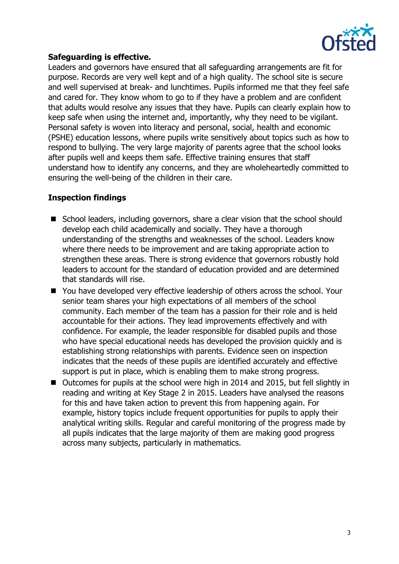

## **Safeguarding is effective.**

Leaders and governors have ensured that all safeguarding arrangements are fit for purpose. Records are very well kept and of a high quality. The school site is secure and well supervised at break- and lunchtimes. Pupils informed me that they feel safe and cared for. They know whom to go to if they have a problem and are confident that adults would resolve any issues that they have. Pupils can clearly explain how to keep safe when using the internet and, importantly, why they need to be vigilant. Personal safety is woven into literacy and personal, social, health and economic (PSHE) education lessons, where pupils write sensitively about topics such as how to respond to bullying. The very large majority of parents agree that the school looks after pupils well and keeps them safe. Effective training ensures that staff understand how to identify any concerns, and they are wholeheartedly committed to ensuring the well-being of the children in their care.

# **Inspection findings**

- School leaders, including governors, share a clear vision that the school should develop each child academically and socially. They have a thorough understanding of the strengths and weaknesses of the school. Leaders know where there needs to be improvement and are taking appropriate action to strengthen these areas. There is strong evidence that governors robustly hold leaders to account for the standard of education provided and are determined that standards will rise.
- You have developed very effective leadership of others across the school. Your senior team shares your high expectations of all members of the school community. Each member of the team has a passion for their role and is held accountable for their actions. They lead improvements effectively and with confidence. For example, the leader responsible for disabled pupils and those who have special educational needs has developed the provision quickly and is establishing strong relationships with parents. Evidence seen on inspection indicates that the needs of these pupils are identified accurately and effective support is put in place, which is enabling them to make strong progress.
- Outcomes for pupils at the school were high in 2014 and 2015, but fell slightly in reading and writing at Key Stage 2 in 2015. Leaders have analysed the reasons for this and have taken action to prevent this from happening again. For example, history topics include frequent opportunities for pupils to apply their analytical writing skills. Regular and careful monitoring of the progress made by all pupils indicates that the large majority of them are making good progress across many subjects, particularly in mathematics.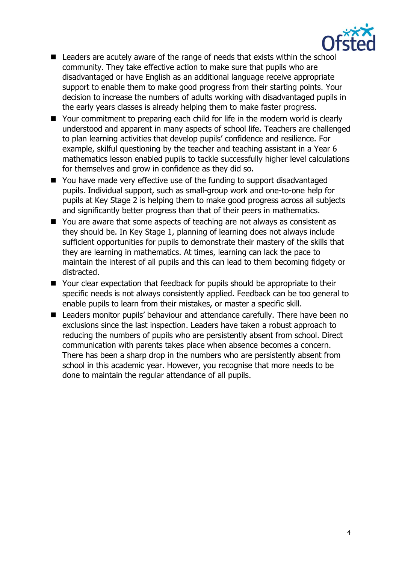

- Leaders are acutely aware of the range of needs that exists within the school community. They take effective action to make sure that pupils who are disadvantaged or have English as an additional language receive appropriate support to enable them to make good progress from their starting points. Your decision to increase the numbers of adults working with disadvantaged pupils in the early years classes is already helping them to make faster progress.
- Your commitment to preparing each child for life in the modern world is clearly understood and apparent in many aspects of school life. Teachers are challenged to plan learning activities that develop pupils' confidence and resilience. For example, skilful questioning by the teacher and teaching assistant in a Year 6 mathematics lesson enabled pupils to tackle successfully higher level calculations for themselves and grow in confidence as they did so.
- You have made very effective use of the funding to support disadvantaged pupils. Individual support, such as small-group work and one-to-one help for pupils at Key Stage 2 is helping them to make good progress across all subjects and significantly better progress than that of their peers in mathematics.
- You are aware that some aspects of teaching are not always as consistent as they should be. In Key Stage 1, planning of learning does not always include sufficient opportunities for pupils to demonstrate their mastery of the skills that they are learning in mathematics. At times, learning can lack the pace to maintain the interest of all pupils and this can lead to them becoming fidgety or distracted.
- Your clear expectation that feedback for pupils should be appropriate to their specific needs is not always consistently applied. Feedback can be too general to enable pupils to learn from their mistakes, or master a specific skill.
- Leaders monitor pupils' behaviour and attendance carefully. There have been no exclusions since the last inspection. Leaders have taken a robust approach to reducing the numbers of pupils who are persistently absent from school. Direct communication with parents takes place when absence becomes a concern. There has been a sharp drop in the numbers who are persistently absent from school in this academic year. However, you recognise that more needs to be done to maintain the regular attendance of all pupils.